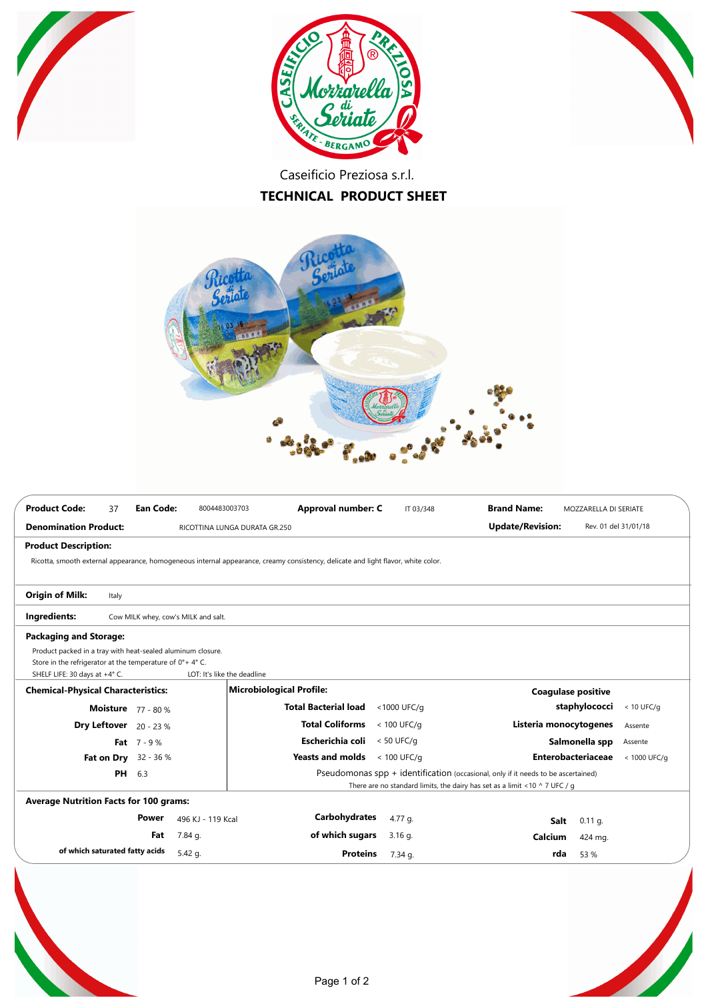





Caseificio Preziosa s.r.l.

## **TECHNICAL PRODUCT SHEET**



| <b>Product Code:</b><br><b>Ean Code:</b><br>37                                                          | Approval number: C<br>8004483003703                                                                                               | <b>Brand Name:</b><br>IT 03/348                                                  | MOZZARELLA DI SERIATE                     |  |  |
|---------------------------------------------------------------------------------------------------------|-----------------------------------------------------------------------------------------------------------------------------------|----------------------------------------------------------------------------------|-------------------------------------------|--|--|
| <b>Denomination Product:</b>                                                                            | RICOTTINA LUNGA DURATA GR.250                                                                                                     | <b>Update/Revision:</b>                                                          | Rev. 01 del 31/01/18                      |  |  |
| <b>Product Description:</b>                                                                             |                                                                                                                                   |                                                                                  |                                           |  |  |
|                                                                                                         | Ricotta, smooth external appearance, homogeneous internal appearance, creamy consistency, delicate and light flavor, white color. |                                                                                  |                                           |  |  |
|                                                                                                         |                                                                                                                                   |                                                                                  |                                           |  |  |
| <b>Origin of Milk:</b><br>Italy                                                                         |                                                                                                                                   |                                                                                  |                                           |  |  |
| Ingredients:<br>Cow MILK whey, cow's MILK and salt.                                                     |                                                                                                                                   |                                                                                  |                                           |  |  |
| <b>Packaging and Storage:</b>                                                                           |                                                                                                                                   |                                                                                  |                                           |  |  |
| Product packed in a tray with heat-sealed aluminum closure.                                             |                                                                                                                                   |                                                                                  |                                           |  |  |
| Store in the refrigerator at the temperature of 0°+4°C.                                                 |                                                                                                                                   |                                                                                  |                                           |  |  |
| SHELF LIFE: 30 days at +4° C.                                                                           | LOT: It's like the deadline                                                                                                       |                                                                                  |                                           |  |  |
| <b>Chemical-Physical Characteristics:</b>                                                               | Microbiological Profile:                                                                                                          |                                                                                  | <b>Coagulase positive</b>                 |  |  |
| <b>Moisture</b> 77 - 80 %                                                                               | <b>Total Bacterial load</b>                                                                                                       | <1000 UFC/g                                                                      | staphylococci<br>$< 10$ UFC/g             |  |  |
| <b>Dry Leftover</b> $20 - 23$ %                                                                         | <b>Total Coliforms</b>                                                                                                            | $< 100$ UFC/g                                                                    | Listeria monocytogenes<br>Assente         |  |  |
| Fat $7 - 9%$                                                                                            | Escherichia coli                                                                                                                  | $< 50$ UFC/g                                                                     | Salmonella spp<br>Assente                 |  |  |
| 32 - 36 %<br>Fat on Dry                                                                                 | <b>Yeasts and molds</b>                                                                                                           | $< 100$ UFC/g                                                                    | <b>Enterobacteriaceae</b><br>< 1000 UFC/g |  |  |
| Pseudomonas $spp + identification$ (occasional, only if it needs to be ascertained)<br><b>PH</b><br>6.3 |                                                                                                                                   |                                                                                  |                                           |  |  |
|                                                                                                         |                                                                                                                                   | There are no standard limits, the dairy has set as a limit <10 $\land$ 7 UFC / g |                                           |  |  |
| <b>Average Nutrition Facts for 100 grams:</b>                                                           |                                                                                                                                   |                                                                                  |                                           |  |  |
| Power                                                                                                   | Carbohydrates<br>496 KJ - 119 Kcal                                                                                                | 4.77 g.                                                                          | $0.11$ g.<br>Salt                         |  |  |
| Fat<br>7.84 g.                                                                                          | of which sugars                                                                                                                   | $3.16$ g.<br>Calcium                                                             | 424 mg.                                   |  |  |
| of which saturated fatty acids<br>5.42 g.                                                               | <b>Proteins</b>                                                                                                                   | 7.34 g.                                                                          | 53 %<br>rda                               |  |  |
|                                                                                                         |                                                                                                                                   |                                                                                  |                                           |  |  |